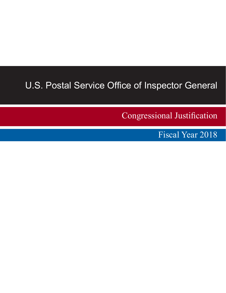# U.S. Postal Service Office of Inspector General

Congressional Justification

Fiscal Year 2018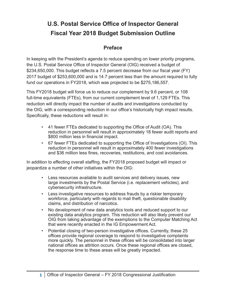# <span id="page-1-0"></span>**U.S. Postal Service Office of Inspector General Fiscal Year 2018 Budget Submission Outline**

# **Preface**

In keeping with the President's agenda to reduce spending on lower priority programs, the U.S. Postal Service Office of Inspector General (OIG) received a budget of \$234,650,000. This budget reflects a 7.5 percent decrease from our fiscal year (FY) 2017 budget of \$253,600,000 and is 14.7 percent less than the amount required to fully fund our operations in FY2018, which was projected to be \$275,186,557.

This FY2018 budget will force us to reduce our complement by 9.6 percent, or 108 full-time equivalents (FTEs), from our current complement level of 1,129 FTEs. This reduction will directly impact the number of audits and investigations conducted by the OIG, with a corresponding reduction in our office's historically high impact results. Specifically, these reductions will result in:

- 41 fewer FTEs dedicated to supporting the Office of Audit (OA). This reduction in personnel will result in approximately 18 fewer audit reports and \$800 million less in financial impact.
- 67 fewer FTEs dedicated to supporting the Office of Investigations (OI). This reduction in personnel will result in approximately 400 fewer investigations and \$36 million less fines, recoveries, restitutions, and cost avoidances.

In addition to effecting overall staffing, the FY2018 proposed budget will impact or jeopardize a number of other initiatives within the OIG:

- Less resources available to audit services and delivery issues, new large investments by the Postal Service (i.e. replacement vehicles), and cybersecurity infrastructure.
- Less investigative resources to address frauds by a riskier temporary workforce, particularly with regards to mail theft, questionable disability claims, and distribution of narcotics.
- No development of new data analytics tools and reduced support to our existing data analytics program. This reduction will also likely prevent our OIG from taking advantage of the exemptions to the Computer Matching Act that were recently enacted in the IG Empowerment Act.
- Potential closing of two-person investigative offices. Currently, these 25 offices provide regional coverage to respond to investigative complaints more quickly. The personnel in these offices will be consolidated into larger national offices as attrition occurs. Once these regional offices are closed, the response time to these areas will be greatly impacted.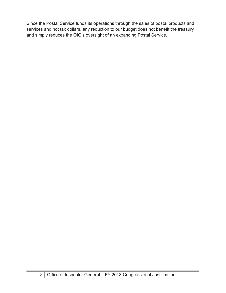Since the Postal Service funds its operations through the sales of postal products and services and not tax dollars, any reduction to our budget does not benefit the treasury and simply reduces the OIG's oversight of an expanding Postal Service.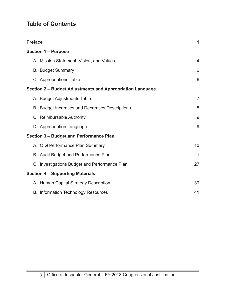# **Table of Contents**

| <b>Preface</b>                                            | 1              |
|-----------------------------------------------------------|----------------|
| <b>Section 1 - Purpose</b>                                |                |
| A. Mission Statement, Vision, and Values                  | $\overline{4}$ |
| <b>B. Budget Summary</b>                                  | 6              |
| C. Appropriations Table                                   | 6              |
| Section 2 - Budget Adjustments and Appropriation Language |                |
| A. Budget Adjustments Table                               | $\overline{7}$ |
| B. Budget Increases and Decreases Descriptions            | 8              |
| C. Reimbursable Authority                                 | 9              |
| D. Appropriation Language                                 | 9              |
| <b>Section 3 - Budget and Performance Plan</b>            |                |
| A. OIG Performance Plan Summary                           | 10             |
| B. Audit Budget and Performance Plan                      | 11             |
| C. Investigations Budget and Performance Plan             | 27             |
| <b>Section 4 - Supporting Materials</b>                   |                |
| A. Human Capital Strategy Description                     | 39             |
| <b>B. Information Technology Resources</b>                | 41             |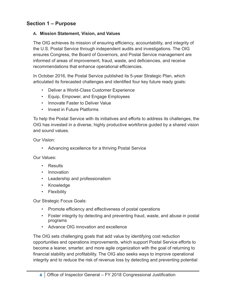## <span id="page-4-0"></span>**Section 1 – Purpose**

#### **A. Mission Statement, Vision, and Values**

The OIG achieves its mission of ensuring efficiency, accountability, and integrity of the U.S. Postal Service through independent audits and investigations. The OIG ensures Congress, the Board of Governors, and Postal Service management are informed of areas of improvement, fraud, waste, and deficiencies, and receive recommendations that enhance operational efficiencies.

In October 2016, the Postal Service published its 5-year Strategic Plan, which articulated its forecasted challenges and identified four key future ready goals:

- Deliver a World-Class Customer Experience
- Equip, Empower, and Engage Employees
- Innovate Faster to Deliver Value
- Invest in Future Platforms

To help the Postal Service with its initiatives and efforts to address its challenges, the OIG has invested in a diverse, highly productive workforce guided by a shared vision and sound values.

Our Vision:

• Advancing excellence for a thriving Postal Service

Our Values:

- Results
- Innovation
- Leadership and professionalism
- Knowledge
- Flexibility

Our Strategic Focus Goals:

- Promote efficiency and effectiveness of postal operations
- Foster integrity by detecting and preventing fraud, waste, and abuse in postal programs
- Advance OIG innovation and excellence

The OIG sets challenging goals that add value by identifying cost reduction opportunities and operations improvements, which support Postal Service efforts to become a leaner, smarter, and more agile organization with the goal of returning to financial stability and profitability. The OIG also seeks ways to improve operational integrity and to reduce the risk of revenue loss by detecting and preventing potential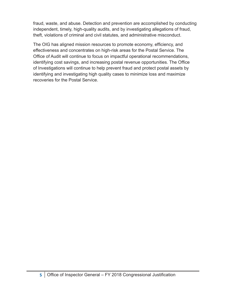fraud, waste, and abuse. Detection and prevention are accomplished by conducting independent, timely, high-quality audits, and by investigating allegations of fraud, theft, violations of criminal and civil statutes, and administrative misconduct.

The OIG has aligned mission resources to promote economy, efficiency, and effectiveness and concentrates on high-risk areas for the Postal Service. The Office of Audit will continue to focus on impactful operational recommendations, identifying cost savings, and increasing postal revenue opportunities. The Office of Investigations will continue to help prevent fraud and protect postal assets by identifying and investigating high quality cases to minimize loss and maximize recoveries for the Postal Service.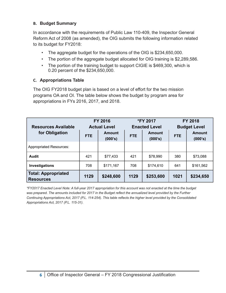#### <span id="page-6-0"></span>**B. Budget Summary**

In accordance with the requirements of Public Law 110-409, the Inspector General Reform Act of 2008 (as amended), the OIG submits the following information related to its budget for FY2018:

- The aggregate budget for the operations of the OIG is \$234,650,000.
- The portion of the aggregate budget allocated for OIG training is \$2,289,586.
- The portion of the training budget to support CIGIE is \$469,300, which is 0.20 percent of the \$234,650,000.

#### **C. Appropriations Table**

The OIG FY2018 budget plan is based on a level of effort for the two mission programs OA and OI. The table below shows the budget by program area for appropriations in FYs 2016, 2017, and 2018.

| <b>FY 2016</b><br><b>Resources Available</b><br><b>Actual Level</b> |            |                          | <b>*FY 2017</b><br><b>Enacted Level</b> |           | <b>FY 2018</b><br><b>Budget Level</b> |                          |
|---------------------------------------------------------------------|------------|--------------------------|-----------------------------------------|-----------|---------------------------------------|--------------------------|
| for Obligation                                                      | <b>FTE</b> | <b>Amount</b><br>(000's) | <b>Amount</b><br><b>FTE</b><br>(000's)  |           | <b>FTE</b>                            | <b>Amount</b><br>(000's) |
| <b>Appropriated Resources:</b>                                      |            |                          |                                         |           |                                       |                          |
| <b>Audit</b>                                                        | 421        | \$77,433                 | 421                                     | \$78,990  | 380                                   | \$73,088                 |
| Investigations                                                      | 708        | \$171,167                | 708                                     | \$174,610 | 641                                   | \$161,562                |
| <b>Total: Appropriated</b><br><b>Resources</b>                      | 1129       | \$248,600                | 1129                                    | \$253,600 | 1021                                  | \$234,650                |

*\*FY2017 Enacted Level Note: A full-year 2017 appropriation for this account was not enacted at the time the budget was prepared. The amounts included for 2017 in the Budget reflect the annualized level provided by the Further Continuing Appropriations Act, 2017 (P.L. 114-254). This table reflects the higher level provided by the Consolidated Appropriations Act, 2017 (P.L. 115-31).*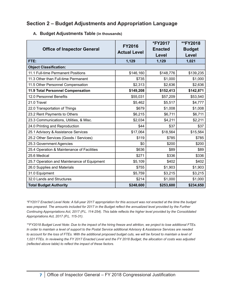### <span id="page-7-0"></span>**Section 2 – Budget Adjustments and Appropriation Language**

| <b>Office of Inspector General</b>          | <b>FY2016</b><br><b>Actual Level</b> | *FY2017<br><b>Enacted</b><br>Level | **FY2018<br><b>Budget</b><br>Level |
|---------------------------------------------|--------------------------------------|------------------------------------|------------------------------------|
| FTE:                                        | 1,129                                | 1,129                              | 1,021                              |
| <b>Object Classification:</b>               |                                      |                                    |                                    |
| 11.1 Full-time Permanent Positions          | \$146,160                            | \$148,776                          | \$139,235                          |
| 11.3 Other than Full-time Permanent         | \$735                                | \$1,000                            | \$1,000                            |
| 11.5 Other Personnel Compensation           | \$2,313                              | \$2,636                            | \$2,636                            |
| 11.9 Total Personnel Compensation           | \$149,208                            | \$152,413                          | \$142,871                          |
| 12.0 Personnel Benefits                     | \$55,031                             | \$57,209                           | \$53,540                           |
| 21.0 Travel                                 | \$5,462                              | \$5,517                            | \$4,777                            |
| 22.0 Transportation of Things               | \$679                                | \$1,008                            | \$1,008                            |
| 23.2 Rent Payments to Others                | \$6,215                              | \$6,711                            | \$6,711                            |
| 23.3 Communications, Utilities, & Misc.     | \$2,034                              | \$4,211                            | \$2,211                            |
| 24.0 Printing and Reproduction              | \$44                                 | \$37                               | \$37                               |
| 25.1 Advisory & Assistance Services         | \$17,064                             | \$18,564                           | \$15,564                           |
| 25.2 Other Services (Goods / Services)      | \$119                                | \$785                              | \$785                              |
| 25.3 Government Agencies                    | \$0                                  | \$200                              | \$200                              |
| 25.4 Operation & Maintenance of Facilities  | \$636                                | \$89                               | \$89                               |
| 25.6 Medical                                | \$271                                | \$336                              | \$336                              |
| 25.7 Operation and Maintenance of Equipment | \$5,109                              | \$402                              | \$402                              |
| 26.0 Supplies and Materials                 | \$755                                | \$1,903                            | \$1,903                            |
| 31.0 Equipment                              | \$5,759                              | \$3,215                            | \$3,215                            |
| 32.0 Lands and Structures                   | \$214                                | \$1,000                            | \$1,000                            |
| <b>Total Budget Authority</b>               | \$248,600                            | \$253,600                          | \$234,650                          |

#### **A. Budget Adjustments Table (in thousands)**

*\*FY2017 Enacted Level Note: A full-year 2017 appropriation for this account was not enacted at the time the budget was prepared. The amounts included for 2017 in the Budget reflect the annualized level provided by the Further Continuing Appropriations Act, 2017 (P.L. 114-254). This table reflects the higher level provided by the Consolidated Appropriations Act, 2017 (P.L. 115-31).*

*\*\*FY2018 Budget Level Note: Due to the impact of the hiring freeze and attrition, we project to lose additional FTEs. In order to maintain a level of support to the Postal Service additional Advisory & Assistance Services are needed*  to account for the loss of FTEs. With the additional proposed budget cuts, we will be forced to maintain a level of 1,021 FTEs. In reviewing the FY 2017 Enacted Level and the FY 2018 Budget, the allocation of costs was adjusted *(reflected above table) to reflect the impact of these factors.*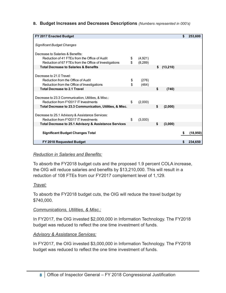<span id="page-8-0"></span>**B. Budget Increases and Decreases Descriptions** *(Numbers represented in 000's)*

| FY 2017 Enacted Budget                                   |               |     |          | \$<br>253,600   |
|----------------------------------------------------------|---------------|-----|----------|-----------------|
|                                                          |               |     |          |                 |
| <b>Significant Budget Changes</b>                        |               |     |          |                 |
|                                                          |               |     |          |                 |
| Decrease to Salaries & Benefits:                         |               |     |          |                 |
| Reduction of 41 FTEs from the Office of Audit            | \$<br>(4,921) |     |          |                 |
| Reduction of 67 FTEs from the Office of Investigations   | \$<br>(8,289) |     |          |                 |
| <b>Total Decrease to Salaries &amp; Benefits</b>         |               | s.  | (13,210) |                 |
|                                                          |               |     |          |                 |
| Decrease to 21.0 Travel:                                 |               |     |          |                 |
| Reduction from the Office of Audit                       | \$<br>(276)   |     |          |                 |
| Reduction from the Office of Investigations              | \$<br>(464)   |     |          |                 |
| <b>Total Decrease to 2.1 Travel</b>                      |               | \$  | (740)    |                 |
|                                                          |               |     |          |                 |
| Decrease to 23.3 Communication, Utilities, & Misc.:      |               |     |          |                 |
| Reduction from FY2017 IT Investments                     | \$<br>(2,000) |     |          |                 |
| Total Decrease to 23.3 Communication, Utilities, & Misc. |               | \$. | (2,000)  |                 |
|                                                          |               |     |          |                 |
| Decrease to 25.1 Advisory & Assistance Services:         |               |     |          |                 |
| Reduction from FY2017 IT Investments                     | \$<br>(3,000) |     |          |                 |
| Total Decrease to 25.1 Advisory & Assistance Services    |               | \$  | (3,000)  |                 |
|                                                          |               |     |          |                 |
| <b>Significant Budget Changes Total</b>                  |               |     |          | \$<br>(18, 950) |
|                                                          |               |     |          |                 |
| FY 2018 Requested Budget                                 |               |     |          | 234,650         |

#### *Reduction in Salaries and Benefits:*

To absorb the FY2018 budget cuts and the proposed 1.9 percent COLA increase, the OIG will reduce salaries and benefits by \$13,210,000. This will result in a reduction of 108 FTEs from our FY2017 complement level of 1,129.

#### *Travel:*

To absorb the FY2018 budget cuts, the OIG will reduce the travel budget by \$740,000.

#### *Communications, Utilities, & Misc.:*

In FY2017, the OIG invested \$2,000,000 in Information Technology. The FY2018 budget was reduced to reflect the one time investment of funds.

#### *Advisory & Assistance Services:*

In FY2017, the OIG invested \$3,000,000 in Information Technology. The FY2018 budget was reduced to reflect the one time investment of funds.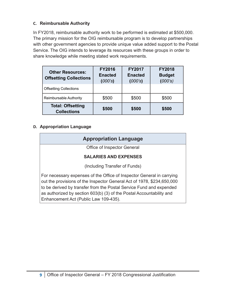#### <span id="page-9-0"></span>**C. Reimbursable Authority**

In FY2018, reimbursable authority work to be performed is estimated at \$500,000. The primary mission for the OIG reimbursable program is to develop partnerships with other government agencies to provide unique value added support to the Postal Service. The OIG intends to leverage its resources with these groups in order to share knowledge while meeting stated work requirements.

| <b>Other Resources:</b><br><b>Offsetting Collections</b> | <b>FY2016</b><br><b>Enacted</b><br>(000's) | <b>FY2017</b><br><b>Enacted</b><br>(000's) | <b>FY2018</b><br><b>Budget</b><br>(000's) |
|----------------------------------------------------------|--------------------------------------------|--------------------------------------------|-------------------------------------------|
| <b>Offsetting Collections</b>                            |                                            |                                            |                                           |
| Reimbursable Authority                                   | \$500                                      | \$500                                      | \$500                                     |
| <b>Total: Offsetting</b><br><b>Collections</b>           | \$500                                      | \$500                                      | \$500                                     |

#### **D. Appropriation Language**

| <b>Appropriation Language</b>                                                                                                                                                                                                                                                                                                           |
|-----------------------------------------------------------------------------------------------------------------------------------------------------------------------------------------------------------------------------------------------------------------------------------------------------------------------------------------|
| Office of Inspector General                                                                                                                                                                                                                                                                                                             |
| <b>SALARIES AND EXPENSES</b>                                                                                                                                                                                                                                                                                                            |
| (Including Transfer of Funds)                                                                                                                                                                                                                                                                                                           |
| For necessary expenses of the Office of Inspector General in carrying<br>out the provisions of the Inspector General Act of 1978, \$234,650,000<br>to be derived by transfer from the Postal Service Fund and expended<br>as authorized by section 603(b) (3) of the Postal Accountability and<br>Enhancement Act (Public Law 109-435). |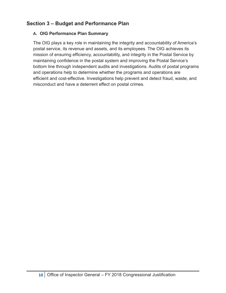# <span id="page-10-0"></span>**Section 3 – Budget and Performance Plan**

#### **A. OIG Performance Plan Summary**

The OIG plays a key role in maintaining the integrity and accountability of America's postal service, its revenue and assets, and its employees. The OIG achieves its mission of ensuring efficiency, accountability, and integrity in the Postal Service by maintaining confidence in the postal system and improving the Postal Service's bottom line through independent audits and investigations. Audits of postal programs and operations help to determine whether the programs and operations are efficient and cost-effective. Investigations help prevent and detect fraud, waste, and misconduct and have a deterrent effect on postal crimes.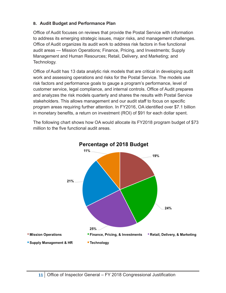#### <span id="page-11-0"></span>**B. Audit Budget and Performance Plan**

Office of Audit focuses on reviews that provide the Postal Service with information to address its emerging strategic issues, major risks, and management challenges. Office of Audit organizes its audit work to address risk factors in five functional audit areas — Mission Operations; Finance, Pricing, and Investments; Supply Management and Human Resources; Retail, Delivery, and Marketing; and Technology.

Office of Audit has 13 data analytic risk models that are critical in developing audit work and assessing operations and risks for the Postal Service. The models use risk factors and performance goals to gauge a program's performance, level of customer service, legal compliance, and internal controls. Office of Audit prepares and analyzes the risk models quarterly and shares the results with Postal Service stakeholders. This allows management and our audit staff to focus on specific program areas requiring further attention. In FY2016, OA identified over \$7.1 billion in monetary benefits, a return on investment (ROI) of \$91 for each dollar spent.

The following chart shows how OA would allocate its FY2018 program budget of \$73 million to the five functional audit areas.



# Percentage of 2018 Budget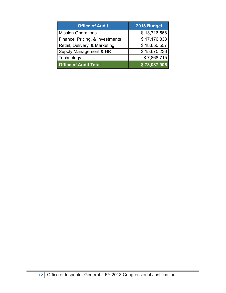| <b>Office of Audit</b>          | 2018 Budget  |
|---------------------------------|--------------|
| <b>Mission Operations</b>       | \$13,716,568 |
| Finance, Pricing, & Investments | \$17,176,833 |
| Retail, Delivery, & Marketing   | \$18,650,557 |
| Supply Management & HR          | \$15,675,233 |
| Technology                      | \$7,868,715  |
| <b>Office of Audit Total</b>    | \$73,087,906 |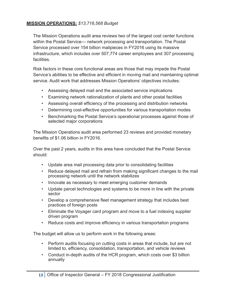#### **MISSION OPERATIONS:** *\$13,716,568 Budget*

The Mission Operations audit area reviews two of the largest cost center functions within the Postal Service— network processing and transportation. The Postal Service processed over 154 billion mailpieces in FY2016 using its massive infrastructure, which includes over 507,774 career employees and 307 processing facilities.

Risk factors in these core functional areas are those that may impede the Postal Service's abilities to be effective and efficient in moving mail and maintaining optimal service. Audit work that addresses Mission Operations' objectives includes:

- Assessing delayed mail and the associated service implications
- Examining network rationalization of plants and other postal facilities
- Assessing overall efficiency of the processing and distribution networks
- Determining cost-effective opportunities for various transportation modes
- Benchmarking the Postal Service's operational processes against those of selected major corporations

The Mission Operations audit area performed 23 reviews and provided monetary benefits of \$1.06 billion in FY2016.

Over the past 2 years, audits in this area have concluded that the Postal Service should:

- Update area mail processing data prior to consolidating facilities
- Reduce delayed mail and refrain from making significant changes to the mail processing network until the network stabilizes
- Innovate as necessary to meet emerging customer demands
- Update parcel technologies and systems to be more in line with the private sector
- Develop a comprehensive fleet management strategy that includes best practices of foreign posts
- Eliminate the Voyager card program and move to a fuel indexing supplier driven program
- Reduce costs and improve efficiency in various transportation programs

The budget will allow us to perform work in the following areas:

- Perform audits focusing on cutting costs in areas that include, but are not limited to, efficiency, consolidation, transportation, and vehicle reviews
- Conduct in-depth audits of the HCR program, which costs over \$3 billion annually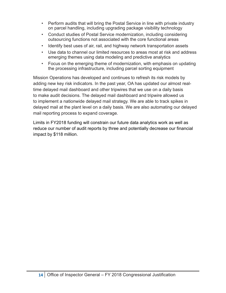- Perform audits that will bring the Postal Service in line with private industry on parcel handling, including upgrading package visibility technology
- Conduct studies of Postal Service modernization, including considering outsourcing functions not associated with the core functional areas
- Identify best uses of air, rail, and highway network transportation assets
- Use data to channel our limited resources to areas most at risk and address emerging themes using data modeling and predictive analytics
- Focus on the emerging theme of modernization, with emphasis on updating the processing infrastructure, including parcel sorting equipment

Mission Operations has developed and continues to refresh its risk models by adding new key risk indicators. In the past year, OA has updated our almost realtime delayed mail dashboard and other tripwires that we use on a daily basis to make audit decisions. The delayed mail dashboard and tripwire allowed us to implement a nationwide delayed mail strategy. We are able to track spikes in delayed mail at the plant level on a daily basis. We are also automating our delayed mail reporting process to expand coverage.

Limits in FY2018 funding will constrain our future data analytics work as well as reduce our number of audit reports by three and potentially decrease our financial impact by \$118 million.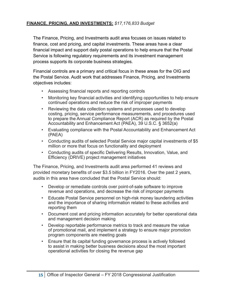#### **FINANCE, PRICING, AND INVESTMENTS:** *\$17,176,833 Budget*

The Finance, Pricing, and Investments audit area focuses on issues related to finance, cost and pricing, and capital investments. These areas have a clear financial impact and support daily postal operations to help ensure that the Postal Service is following regulatory requirements and its investment management process supports its corporate business strategies.

Financial controls are a primary and critical focus in these areas for the OIG and the Postal Service. Audit work that addresses Finance, Pricing, and Investments objectives includes:

- Assessing financial reports and reporting controls
- Monitoring key financial activities and identifying opportunities to help ensure continued operations and reduce the risk of improper payments
- Reviewing the data collection systems and processes used to develop costing, pricing, service performance measurements, and procedures used to prepare the Annual Compliance Report (ACR) as required by the Postal Accountability and Enhancement Act (PAEA), 39 U.S.C. § 3652(a)
- Evaluating compliance with the Postal Accountability and Enhancement Act (PAEA)
- Conducting audits of selected Postal Service major capital investments of \$5 million or more that focus on functionality and deployment
- Conducting audits of specific Delivering Results, Innovation, Value, and Efficiency (DRIVE) project management initiatives

The Finance, Pricing, and Investments audit area performed 41 reviews and provided monetary benefits of over \$3.5 billion in FY2016. Over the past 2 years, audits in this area have concluded that the Postal Service should:

- Develop or remediate controls over point-of-sale software to improve revenue and operations, and decrease the risk of improper payments
- Educate Postal Service personnel on high-risk money laundering activities and the importance of sharing information related to these activities and reporting them
- Document cost and pricing information accurately for better operational data and management decision making
- Develop reportable performance metrics to track and measure the value of promotional mail, and implement a strategy to ensure major promotion program components are meeting goals
- Ensure that its capital funding governance process is actively followed to assist in making better business decisions about the most important operational activities for closing the revenue gap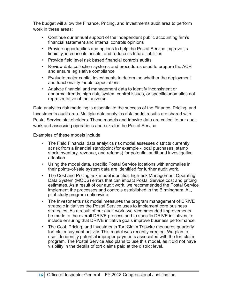The budget will allow the Finance, Pricing, and Investments audit area to perform work in these areas:

- Continue our annual support of the independent public accounting firm's financial statement and internal controls opinions
- Provide opportunities and options to help the Postal Service improve its liquidity, increase its assets, and reduce its future liabilities
- Provide field level risk based financial controls audits
- Review data collection systems and procedures used to prepare the ACR and ensure legislative compliance
- Evaluate major capital investments to determine whether the deployment and functionality meets expectations
- Analyze financial and management data to identify inconsistent or abnormal trends, high risk, system control issues, or specific anomalies not representative of the universe

Data analytics risk modeling is essential to the success of the Finance, Pricing, and Investments audit area. Multiple data analytics risk model results are shared with Postal Service stakeholders. These models and tripwire data are critical to our audit work and assessing operations and risks for the Postal Service.

Examples of these models include:

- The Field Financial data analytics risk model assesses districts currently at risk from a financial standpoint (for example - local purchases, stamp stock inventory, revenue, and refunds) for potential audit and investigative attention.
- Using the model data, specific Postal Service locations with anomalies in their points-of-sale system data are identified for further audit work.
- The Cost and Pricing risk model identifies high-risk Management Operating Data System (MODS) errors that can impact Postal Service cost and pricing estimates. As a result of our audit work, we recommended the Postal Service implement the processes and controls established in the Birmingham, AL, pilot study program nationwide.
- The Investments risk model measures the program management of DRIVE strategic initiatives the Postal Service uses to implement core business strategies. As a result of our audit work, we recommended improvements be made to the overall DRIVE process and to specific DRIVE initiatives, to include ensuring that DRIVE initiative goals improve business performance.
- The Cost, Pricing, and Investments Tort Claim Tripwire measures quarterly tort claim payment activity. This model was recently created. We plan to use it to identify potential improper payments associated with the tort claim program. The Postal Service also plans to use this model, as it did not have visibility in the details of tort claims paid at the district level.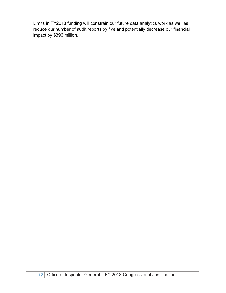Limits in FY2018 funding will constrain our future data analytics work as well as reduce our number of audit reports by five and potentially decrease our financial impact by \$396 million.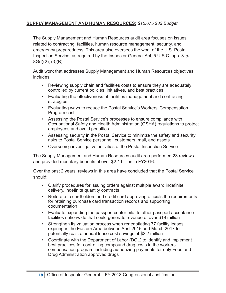#### **SUPPLY MANAGEMENT AND HUMAN RESOURCES:** *\$15,675,233 Budget*

The Supply Management and Human Resources audit area focuses on issues related to contracting, facilities, human resource management, security, and emergency preparedness. This area also oversees the work of the U.S. Postal Inspection Service, as required by the Inspector General Act, 5 U.S.C. app. 3. § 8G(f)(2), (3)(B).

Audit work that addresses Supply Management and Human Resources objectives includes:

- Reviewing supply chain and facilities costs to ensure they are adequately controlled by current policies, initiatives, and best practices
- Evaluating the effectiveness of facilities management and contracting strategies
- Evaluating ways to reduce the Postal Service's Workers' Compensation Program cost
- Assessing the Postal Service's processes to ensure compliance with Occupational Safety and Health Administration (OSHA) regulations to protect employees and avoid penalties
- Assessing security in the Postal Service to minimize the safety and security risks to Postal Service personnel, customers, mail, and assets
- Overseeing investigative activities of the Postal Inspection Service

The Supply Management and Human Resources audit area performed 23 reviews and provided monetary benefits of over \$2.1 billion in FY2016.

Over the past 2 years, reviews in this area have concluded that the Postal Service should:

- Clarify procedures for issuing orders against multiple award indefinite delivery, indefinite quantity contracts
- Reiterate to cardholders and credit card approving officials the requirements for retaining purchase card transaction records and supporting documentation
- Evaluate expanding the passport center pilot to other passport acceptance facilities nationwide that could generate revenue of over \$19 million
- Strengthen its valuation process when renegotiating 77 facility leases expiring in the Eastern Area between April 2015 and March 2017 to potentially realize annual lease cost savings of \$2.2 million
- Coordinate with the Department of Labor (DOL) to identify and implement best practices for controlling compound drug costs in the workers' compensation program including authorizing payments for only Food and Drug Administration approved drugs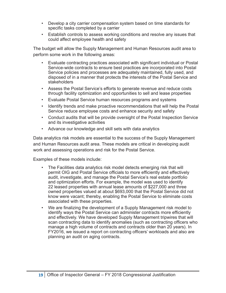- Develop a city carrier compensation system based on time standards for specific tasks completed by a carrier
- Establish controls to assess working conditions and resolve any issues that could affect employee health and safety

The budget will allow the Supply Management and Human Resources audit area to perform some work in the following areas:

- Evaluate contracting practices associated with significant individual or Postal Service-wide contracts to ensure best practices are incorporated into Postal Service policies and processes are adequately maintained, fully used, and disposed of in a manner that protects the interests of the Postal Service and stakeholders
- Assess the Postal Service's efforts to generate revenue and reduce costs through facility optimization and opportunities to sell and lease properties
- Evaluate Postal Service human resources programs and systems
- Identify trends and make proactive recommendations that will help the Postal Service reduce employee costs and enhance security and safety
- Conduct audits that will be provide oversight of the Postal Inspection Service and its investigative activities
- Advance our knowledge and skill sets with data analytics

Data analytics risk models are essential to the success of the Supply Management and Human Resources audit area. These models are critical in developing audit work and assessing operations and risk for the Postal Service.

Examples of these models include:

- The Facilities data analytics risk model detects emerging risk that will permit OIG and Postal Service officials to more efficiently and effectively audit, investigate, and manage the Postal Service's real estate portfolio and optimization efforts. For example, the model was used to identify 22 leased properties with annual lease amounts of \$227,000 and three owned properties valued at about \$693,000 that the Postal Service did not know were vacant; thereby, enabling the Postal Service to eliminate costs associated with these properties.
- We are finalizing the development of a Supply Management risk model to identify ways the Postal Service can administer contracts more efficiently and effectively. We have developed Supply Management tripwires that will scan contracting data to identify anomalies (such as contracting officers who manage a high volume of contracts and contracts older than 20 years). In FY2016, we issued a report on contracting officers' workloads and also are planning an audit on aging contracts.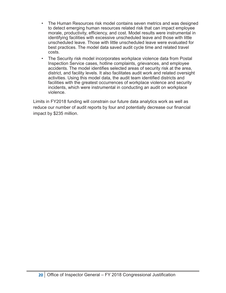- The Human Resources risk model contains seven metrics and was designed to detect emerging human resources related risk that can impact employee morale, productivity, efficiency, and cost. Model results were instrumental in identifying facilities with excessive unscheduled leave and those with little unscheduled leave. Those with little unscheduled leave were evaluated for best practices. The model data saved audit cycle time and related travel costs.
- The Security risk model incorporates workplace violence data from Postal Inspection Service cases, hotline complaints, grievances, and employee accidents. The model identifies selected areas of security risk at the area, district, and facility levels. It also facilitates audit work and related oversight activities. Using this model data, the audit team identified districts and facilities with the greatest occurrences of workplace violence and security incidents, which were instrumental in conducting an audit on workplace violence.

Limits in FY2018 funding will constrain our future data analytics work as well as reduce our number of audit reports by four and potentially decrease our financial impact by \$235 million.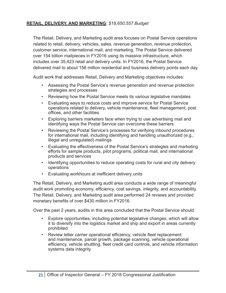#### **RETAIL, DELIVERY, AND MARKETING***: \$18,650,557 Budget*

The Retail, Delivery, and Marketing audit area focuses on Postal Service operations related to retail, delivery, vehicles, sales, revenue generation, revenue protection, customer service, international mail, and marketing. The Postal Service delivered over 154 billion mailpieces in FY2016 using its massive infrastructure, which includes over 35,423 retail and delivery units. In FY2016, the Postal Service delivered mail to about 156 million residential and business delivery points each day.

Audit work that addresses Retail, Delivery and Marketing objectives includes:

- Assessing the Postal Service's revenue generation and revenue protection strategies and processes
- Reviewing how the Postal Service meets its various legislative mandates
- Evaluating ways to reduce costs and improve service for Postal Service operations related to delivery, vehicle maintenance, fleet management, post offices, and other facilities
- Exploring barriers marketers face when trying to use advertising mail and identifying ways the Postal Service can overcome these barriers
- Reviewing the Postal Service's processes for verifying inbound procedures for international mail, including identifying and handling unauthorized (e.g., illegal and unregulated) mailings
- Evaluating the effectiveness of the Postal Service's strategies and marketing efforts for sample products, pilot programs, political mail, and international products and services
- Identifying opportunities to reduce operating costs for rural and city delivery operations
- Evaluating workhours at inefficient delivery units

The Retail, Delivery, and Marketing audit area conducts a wide range of meaningful audit work promoting economy, efficiency, cost savings, integrity, and accountability. The Retail, Delivery, and Marketing audit area performed 24 reviews and provided monetary benefits of over \$430 million in FY2016.

Over the past 2 years, audits in this area concluded that the Postal Service should:

- Explore opportunities, including potential legislative changes, which will allow it to diversify into the logistics market and ship and export in areas currently prohibited
- Review letter carrier operational efficiency, vehicle fleet replacement and maintenance, parcel growth, package scanning, vehicle operational efficiency, vehicle shuttling, fleet credit card controls, and vehicle information systems data integrity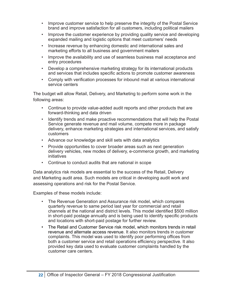- Improve customer service to help preserve the integrity of the Postal Service brand and improve satisfaction for all customers, including political mailers
- Improve the customer experience by providing quality service and developing expanded mailing and logistic options that meet customers' needs
- Increase revenue by enhancing domestic and international sales and marketing efforts to all business and government mailers
- Improve the availability and use of seamless business mail acceptance and entry procedures
- Develop a comprehensive marketing strategy for its international products and services that includes specific actions to promote customer awareness
- Comply with verification processes for inbound mail at various international service centers

The budget will allow Retail, Delivery, and Marketing to perform some work in the following areas:

- Continue to provide value-added audit reports and other products that are forward-thinking and data driven
- Identify trends and make proactive recommendations that will help the Postal Service generate revenue and mail volume, compete more in package delivery, enhance marketing strategies and international services, and satisfy customers
- Advance our knowledge and skill sets with data analytics
- Provide opportunities to cover broader areas such as next generation delivery vehicles, new modes of delivery, e-commerce growth, and marketing initiatives
- Continue to conduct audits that are national in scope

Data analytics risk models are essential to the success of the Retail, Delivery and Marketing audit area. Such models are critical in developing audit work and assessing operations and risk for the Postal Service.

Examples of these models include:

- The Revenue Generation and Assurance risk model, which compares quarterly revenue to same period last year for commercial and retail channels at the national and district levels. This model identified \$500 million in short-paid postage annually and is being used to identify specific products and locations with short-paid postage for further review.
- The Retail and Customer Service risk model, which monitors trends in retail revenue and alternate access revenue. It also monitors trends in customer complaints. This model was used to identify poor performing offices from both a customer service and retail operations efficiency perspective. It also provided key data used to evaluate customer complaints handled by the customer care centers.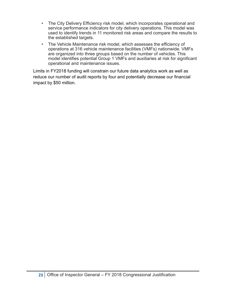- The City Delivery Efficiency risk model, which incorporates operational and service performance indicators for city delivery operations. This model was used to identify trends in 11 monitored risk areas and compare the results to the established targets.
- The Vehicle Maintenance risk model, which assesses the efficiency of operations at 316 vehicle maintenance facilities (VMFs) nationwide. VMFs are organized into three groups based on the number of vehicles. This model identifies potential Group 1 VMFs and auxiliaries at risk for significant operational and maintenance issues.

Limits in FY2018 funding will constrain our future data analytics work as well as reduce our number of audit reports by four and potentially decrease our financial impact by \$50 million.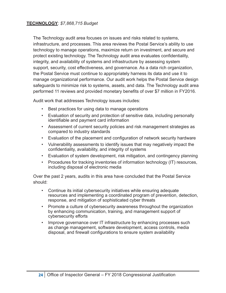The Technology audit area focuses on issues and risks related to systems, infrastructure, and processes. This area reviews the Postal Service's ability to use technology to manage operations, maximize return on investment, and secure and protect existing technology. The Technology audit area evaluates confidentiality, integrity, and availability of systems and infrastructure by assessing system support, security, cost effectiveness, and governance. As a data rich organization, the Postal Service must continue to appropriately harness its data and use it to manage organizational performance. Our audit work helps the Postal Service design safeguards to minimize risk to systems, assets, and data. The Technology audit area performed 11 reviews and provided monetary benefits of over \$7 million in FY2016.

Audit work that addresses Technology issues includes:

- Best practices for using data to manage operations
- Evaluation of security and protection of sensitive data, including personally identifiable and payment card information
- Assessment of current security policies and risk management strategies as compared to industry standards
- Evaluation of the placement and configuration of network security hardware
- Vulnerability assessments to identify issues that may negatively impact the confidentiality, availability, and integrity of systems
- Evaluation of system development, risk mitigation, and contingency planning
- Procedures for tracking inventories of information technology (IT) resources, including disposal of electronic media

Over the past 2 years, audits in this area have concluded that the Postal Service should:

- Continue its initial cybersecurity initiatives while ensuring adequate resources and implementing a coordinated program of prevention, detection, response, and mitigation of sophisticated cyber threats
- Promote a culture of cybersecurity awareness throughout the organization by enhancing communication, training, and management support of cybersecurity efforts
- Improve governance over IT infrastructure by enhancing processes such as change management, software development, access controls, media disposal, and firewall configurations to ensure system availability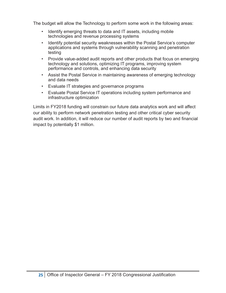The budget will allow the Technology to perform some work in the following areas:

- Identify emerging threats to data and IT assets, including mobile technologies and revenue processing systems
- Identify potential security weaknesses within the Postal Service's computer applications and systems through vulnerability scanning and penetration testing
- Provide value-added audit reports and other products that focus on emerging technology and solutions, optimizing IT programs, improving system performance and controls, and enhancing data security
- Assist the Postal Service in maintaining awareness of emerging technology and data needs
- Evaluate IT strategies and governance programs
- Evaluate Postal Service IT operations including system performance and infrastructure optimization

Limits in FY2018 funding will constrain our future data analytics work and will affect our ability to perform network penetration testing and other critical cyber security audit work. In addition, it will reduce our number of audit reports by two and financial impact by potentially \$1 million.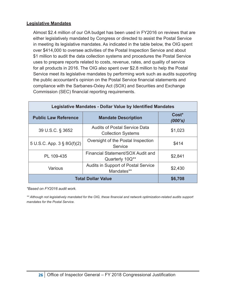#### **Legislative Mandates**

Almost \$2.4 million of our OA budget has been used in FY2016 on reviews that are either legislatively mandated by Congress or directed to assist the Postal Service in meeting its legislative mandates. As indicated in the table below, the OIG spent over \$414,000 to oversee activities of the Postal Inspection Service and about \$1 million to audit the data collection systems and procedures the Postal Service uses to prepare reports related to costs, revenue, rates, and quality of service for all products in 2016. The OIG also spent over \$2.8 million to help the Postal Service meet its legislative mandates by performing work such as audits supporting the public accountant's opinion on the Postal Service financial statements and compliance with the Sarbanes-Oxley Act (SOX) and Securities and Exchange Commission (SEC) financial reporting requirements.

| <b>Legislative Mandates - Dollar Value by Identified Mandates</b>  |                                                                   |         |  |  |
|--------------------------------------------------------------------|-------------------------------------------------------------------|---------|--|--|
| <b>Public Law Reference</b>                                        | Cost*<br>(000's)                                                  |         |  |  |
| 39 U.S.C. § 3652                                                   | <b>Audits of Postal Service Data</b><br><b>Collection Systems</b> | \$1,023 |  |  |
| 5 U.S.C. App. $3 \S 8G(f)(2)$                                      | Oversight of the Postal Inspection<br>Service                     | \$414   |  |  |
| Financial Statement/SOX Audit and<br>PL 109-435<br>Quarterly 10Q** |                                                                   | \$2,841 |  |  |
| Audits in Support of Postal Service<br>Various<br>Mandates**       |                                                                   | \$2,430 |  |  |
| <b>Total Dollar Value</b>                                          | \$6,708                                                           |         |  |  |

*\*Based on FY2016 audit work.*

*\*\* Although not legislatively mandated for the OIG, these financial and network optimization-related audits support mandates for the Postal Service.*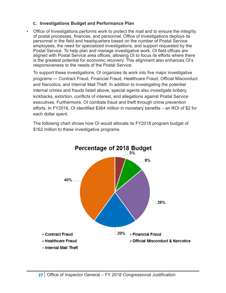#### <span id="page-27-0"></span>**C. Investigations Budget and Performance Plan**

• Office of Investigations performs work to protect the mail and to ensure the integrity of postal processes, finances, and personnel. Office of Investigations deploys its personnel in the field and headquarters based on the number of Postal Service employees, the need for specialized investigations, and support requested by the Postal Service. To help plan and manage investigative work, OI field offices are aligned with Postal Service area offices, allowing OI to focus its efforts where there is the greatest potential for economic recovery. This alignment also enhances OI's responsiveness to the needs of the Postal Service.

To support these investigations, OI organizes its work into five major investigative programs — Contract Fraud, Financial Fraud, Healthcare Fraud, Official Misconduct and Narcotics, and Internal Mail Theft. In addition to investigating the potential internal crimes and frauds listed above, special agents also investigate bribery, kickbacks, extortion, conflicts of interest, and allegations against Postal Service executives. Furthermore, OI combats fraud and theft through crime prevention efforts. In FY2016, OI identified \$364 million in monetary benefits – an ROI of \$2 for each dollar spent.

The following chart shows how OI would allocate its FY2018 program budget of \$162 million to these investigative programs.

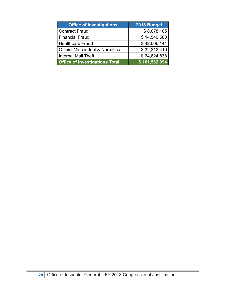| <b>Office of Investigations</b>            | 2018 Budget   |
|--------------------------------------------|---------------|
| <b>Contract Fraud</b>                      | \$8,078,105   |
| <b>Financial Fraud</b>                     | \$14,540,588  |
| <b>Healthcare Fraud</b>                    | \$42,006,144  |
| <b>Official Misconduct &amp; Narcotics</b> | \$32,312,419  |
| <b>Internal Mail Theft</b>                 | \$64,624,838  |
| <b>Office of Investigations Total</b>      | \$161,562,094 |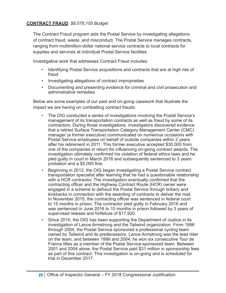#### **CONTRACT FRAUD***: \$8,078,105 Budget*

The Contract Fraud program aids the Postal Service by investigating allegations of contract fraud, waste, and misconduct. The Postal Service manages contracts, ranging from multimillion-dollar national service contracts to local contracts for supplies and services at individual Postal Service facilities.

Investigative work that addresses Contract Fraud includes:

- Identifying Postal Service acquisitions and contracts that are at high risk of fraud
- Investigating allegations of contract improprieties
- Documenting and presenting evidence for criminal and civil prosecution and administrative remedies

Below are some examples of our past and on-going casework that illustrate the impact we are having on combatting contract frauds:

- The OIG conducted a series of investigations involving the Postal Service's management of its transportation contracts as well as fraud by some of its contractors. During those investigations, investigators discovered evidence that a retired Surface Transportation Category Management Center (CMC) manager (a former executive) communicated on numerous occasions with Postal Service employees on behalf of outside companies within 2 years after his retirement in 2011. This former executive accepted \$30,000 from one of the companies in return for influencing on-going contract awards. The investigation ultimately confirmed his violation of federal ethics laws and he pled guilty in court in March 2016 and subsequently sentenced to 3 years' probation and a \$5,000 fine.
- Beginning in 2012, the OIG began investigating a Postal Service contract transportation specialist after learning that he had a questionable relationship with a HCR contractor. The investigation eventually confirmed that the contracting officer and the Highway Contract Route (HCR) owner were engaged in a scheme to defraud the Postal Service through bribery and kickbacks in connection with the awarding of contracts to deliver the mail. In November 2015, the contracting officer was sentenced in federal court to 15 months in prison. The contractor pled guilty in February 2016 and was sentenced in June 2016 to 10 months in prison followed by 3 years of supervised release and forfeiture of \$17,920.
- Since 2010, the OIG has been supporting the Department of Justice in its investigation of Lance Armstrong and the Tailwind organization. From 1996 through 2004, the Postal Service sponsored a professional cycling team owned by Tailwind and its predecessors. Lance Armstrong was the lead rider on the team, and between 1999 and 2004, he won six consecutive Tour de France titles as a member of the Postal Service-sponsored team. Between 2001 and 2004 alone, the Postal Service paid \$31 million in sponsorship fees as part of this contract. This investigation is on-going and is scheduled for trial in December 2017.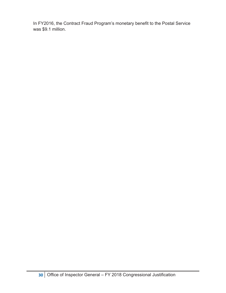In FY2016, the Contract Fraud Program's monetary benefit to the Postal Service was \$9.1 million.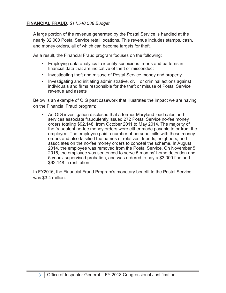#### **FINANCIAL FRAUD***: \$14,540,588 Budget*

A large portion of the revenue generated by the Postal Service is handled at the nearly 32,000 Postal Service retail locations. This revenue includes stamps, cash, and money orders, all of which can become targets for theft.

As a result, the Financial Fraud program focuses on the following:

- Employing data analytics to identify suspicious trends and patterns in financial data that are indicative of theft or misconduct
- Investigating theft and misuse of Postal Service money and property
- Investigating and initiating administrative, civil, or criminal actions against individuals and firms responsible for the theft or misuse of Postal Service revenue and assets

Below is an example of OIG past casework that illustrates the impact we are having on the Financial Fraud program:

• An OIG investigation disclosed that a former Maryland lead sales and services associate fraudulently issued 272 Postal Service no-fee money orders totaling \$92,148, from October 2011 to May 2014. The majority of the fraudulent no-fee money orders were either made payable to or from the employee. The employee paid a number of personal bills with these money orders and also falsified the names of relatives, friends, neighbors, and associates on the no-fee money orders to conceal the scheme. In August 2014, the employee was removed from the Postal Service. On November 5, 2015, the employee was sentenced to serve 5 months' home detention and 5 years' supervised probation, and was ordered to pay a \$3,000 fine and \$92,148 in restitution.

In FY2016, the Financial Fraud Program's monetary benefit to the Postal Service was \$3.4 million.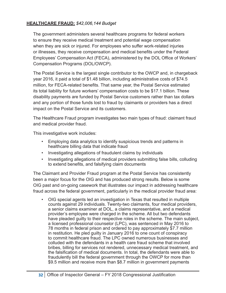#### **HEALTHCARE FRAUD:** *\$42,006,144 Budget*

The government administers several healthcare programs for federal workers to ensure they receive medical treatment and potential wage compensation when they are sick or injured. For employees who suffer work-related injuries or illnesses, they receive compensation and medical benefits under the Federal Employees' Compensation Act (FECA), administered by the DOL Office of Workers' Compensation Programs (DOL/OWCP).

The Postal Service is the largest single contributor to the OWCP and, in chargeback year 2016, it paid a total of \$1.48 billion, including administrative costs of \$74.5 million, for FECA-related benefits. That same year, the Postal Service estimated its total liability for future workers' compensation costs to be \$17.1 billion. These disability payments are funded by Postal Service customers rather than tax dollars and any portion of those funds lost to fraud by claimants or providers has a direct impact on the Postal Service and its customers.

The Healthcare Fraud program investigates two main types of fraud: claimant fraud and medical provider fraud.

This investigative work includes:

- Employing data analytics to identify suspicious trends and patterns in healthcare billing data that indicate fraud
- Investigating allegations of fraudulent claims by individuals
- Investigating allegations of medical providers submitting false bills, colluding to extend benefits, and falsifying claim documents

The Claimant and Provider Fraud program at the Postal Service has consistently been a major focus for the OIG and has produced strong results. Below is some OIG past and on-going casework that illustrates our impact in addressing healthcare fraud across the federal government, particularly in the medical provider fraud area:

• OIG special agents led an investigation in Texas that resulted in multiple counts against 29 individuals. Twenty-two claimants, four medical providers, a senior claims examiner at DOL, a claims representative, and a medical provider's employee were charged in the scheme. All but two defendants have pleaded guilty to their respective roles in the scheme. The main subject, a licensed professional counselor (LPC), was sentenced in May 2016 to 78 months in federal prison and ordered to pay approximately \$7.7 million in restitution. He pled guilty in January 2016 to one count of conspiracy to commit healthcare fraud. The LPC owned numerous businesses and colluded with the defendants in a health care fraud scheme that involved bribes, billing for services not rendered, unnecessary medical treatment, and the falsification of medical documents. In total, the defendants were able to fraudulently bill the federal government through the OWCP for more than \$9.5 million and receive more than \$8.7 million in government payments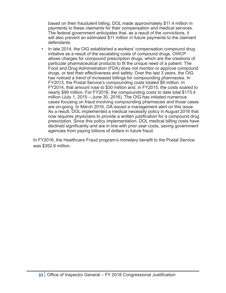based on their fraudulent billing. DOL made approximately \$11.4 million in payments to these claimants for their compensation and medical services. The federal government anticipates that, as a result of the convictions, it will also prevent an estimated \$11 million in future payments to the claimant defendants.

In late 2014, the OIG established a workers' compensation compound drug initiative as a result of the escalating costs of compound drugs. OWCP allows charges for compound prescription drugs, which are the creations of particular pharmaceutical products to fit the unique need of a patient. The Food and Drug Administration (FDA) does not monitor or approve compound drugs, or test their effectiveness and safety. Over the last 3 years, the OIG has noticed a trend of increased billings for compounding pharmacies. In FY2013, the Postal Service's compounding costs totaled \$9 million. In FY2014, that amount rose to \$30 million and, in FY2015, the costs soared to nearly \$99 million. For FY2016, the compounding costs to date total \$173.4 million (July 1, 2015 – June 30, 2016). The OIG has initiated numerous cases focusing on fraud involving compounding pharmacies and those cases are on-going. In March 2016, OA issued a management alert on this issue. As a result, DOL implemented a medical necessity policy in August 2016 that now requires physicians to provide a written justification for a compound drug prescription. Since this policy implementation, DOL medical billing costs have declined significantly and are in line with prior year costs, saving government agencies from paying billions of dollars in future fraud.

In FY2016, the Healthcare Fraud program's monetary benefit to the Postal Service was \$352.6 million.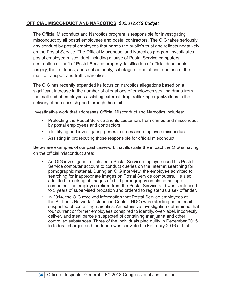#### **OFFICIAL MISCONDUCT AND NARCOTICS***: \$32,312,419 Budget*

The Official Misconduct and Narcotics program is responsible for investigating misconduct by all postal employees and postal contractors. The OIG takes seriously any conduct by postal employees that harms the public's trust and reflects negatively on the Postal Service. The Official Misconduct and Narcotics program investigates postal employee misconduct including misuse of Postal Service computers, destruction or theft of Postal Service property, falsification of official documents, forgery, theft of funds, abuse of authority, sabotage of operations, and use of the mail to transport and traffic narcotics.

The OIG has recently expanded its focus on narcotics allegations based on a significant increase in the number of allegations of employees stealing drugs from the mail and of employees assisting external drug trafficking organizations in the delivery of narcotics shipped through the mail.

Investigative work that addresses Official Misconduct and Narcotics includes:

- Protecting the Postal Service and its customers from crimes and misconduct by postal employees and contractors
- Identifying and investigating general crimes and employee misconduct
- Assisting in prosecuting those responsible for official misconduct

Below are examples of our past casework that illustrate the impact the OIG is having on the official misconduct area:

- An OIG investigation disclosed a Postal Service employee used his Postal Service computer account to conduct queries on the Internet searching for pornographic material. During an OIG interview, the employee admitted to searching for inappropriate images on Postal Service computers. He also admitted to looking at images of child pornography on his home laptop computer. The employee retired from the Postal Service and was sentenced to 5 years of supervised probation and ordered to register as a sex offender.
- In 2014, the OIG received information that Postal Service employees at the St. Louis Network Distribution Center (NDC) were stealing parcel mail suspected of containing narcotics. An extensive investigation determined that four current or former employees conspired to identify, over-label, incorrectly deliver, and steal parcels suspected of containing marijuana and other controlled substances. Three of the individuals pled guilty in December 2015 to federal charges and the fourth was convicted in February 2016 at trial.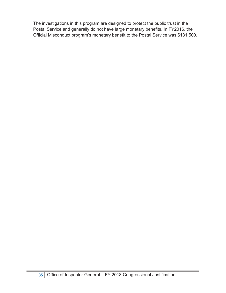The investigations in this program are designed to protect the public trust in the Postal Service and generally do not have large monetary benefits. In FY2016, the Official Misconduct program's monetary benefit to the Postal Service was \$131,500.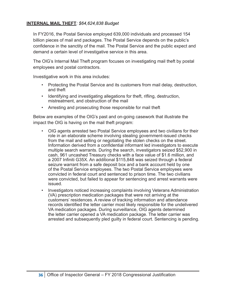#### **INTERNAL MAIL THEFT***: \$64,624,838 Budget*

In FY2016, the Postal Service employed 639,000 individuals and processed 154 billion pieces of mail and packages. The Postal Service depends on the public's confidence in the sanctity of the mail. The Postal Service and the public expect and demand a certain level of investigative service in this area.

The OIG's Internal Mail Theft program focuses on investigating mail theft by postal employees and postal contractors.

Investigative work in this area includes:

- Protecting the Postal Service and its customers from mail delay, destruction, and theft
- Identifying and investigating allegations for theft, rifling, destruction, mistreatment, and obstruction of the mail
- Arresting and prosecuting those responsible for mail theft

Below are examples of the OIG's past and on-going casework that illustrate the impact the OIG is having on the mail theft program:

- OIG agents arrested two Postal Service employees and two civilians for their role in an elaborate scheme involving stealing government-issued checks from the mail and selling or negotiating the stolen checks on the street. Information derived from a confidential informant led investigators to execute multiple search warrants. During the search, investigators seized \$52,900 in cash, 961 uncashed Treasury checks with a face value of \$1.6 million, and a 2007 Infiniti G35X. An additional \$115,848 was seized through a federal seizure warrant from a safe deposit box and a bank account held by one of the Postal Service employees. The two Postal Service employees were convicted in federal court and sentenced to prison time. The two civilians were convicted, but failed to appear for sentencing and arrest warrants were issued.
- Investigators noticed increasing complaints involving Veterans Administration (VA) prescription medication packages that were not arriving at the customers' residences. A review of tracking information and attendance records identified the letter carrier most likely responsible for the undelivered VA medication packages. During surveillance, OIG agents determined the letter carrier opened a VA medication package. The letter carrier was arrested and subsequently pled guilty in federal court. Sentencing is pending.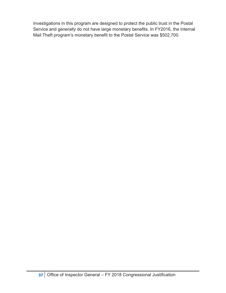Investigations in this program are designed to protect the public trust in the Postal Service and generally do not have large monetary benefits. In FY2016, the Internal Mail Theft program's monetary benefit to the Postal Service was \$502,700.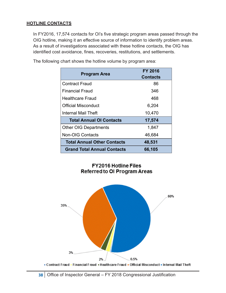#### **HOTLINE CONTACTS**

In FY2016, 17,574 contacts for OI's five strategic program areas passed through the OIG hotline, making it an effective source of information to identify problem areas. As a result of investigations associated with these hotline contacts, the OIG has identified cost avoidance, fines, recoveries, restitutions, and settlements.

| <b>Program Area</b>                | <b>FY 2016</b><br><b>Contacts</b> |
|------------------------------------|-----------------------------------|
| <b>Contract Fraud</b>              | 86                                |
| <b>Financial Fraud</b>             | 346                               |
| Healthcare Fraud                   | 468                               |
| Official Misconduct                | 6,204                             |
| Internal Mail Theft                | 10,470                            |
| <b>Total Annual OI Contacts</b>    | 17,574                            |
| <b>Other OIG Departments</b>       | 1,847                             |
| <b>Non-OIG Contacts</b>            | 46,684                            |
| <b>Total Annual Other Contacts</b> | 48,531                            |
| <b>Grand Total Annual Contacts</b> | 66,105                            |

The following chart shows the hotline volume by program area:

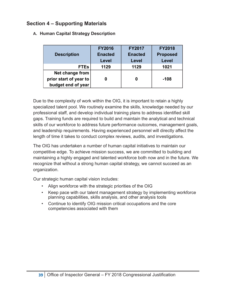### <span id="page-39-0"></span>**Section 4 – Supporting Materials**

|  |  |  |  | A. Human Capital Strategy Description |
|--|--|--|--|---------------------------------------|
|--|--|--|--|---------------------------------------|

|                        | <b>FY2016</b>  | <b>FY2017</b>  | <b>FY2018</b>   |
|------------------------|----------------|----------------|-----------------|
| <b>Description</b>     | <b>Enacted</b> | <b>Enacted</b> | <b>Proposed</b> |
|                        | Level          | Level          | Level           |
| <b>FTEs</b>            | 1129           | 1129           | 1021            |
| Net change from        |                |                |                 |
| prior start of year to |                | 0              | -108            |
| budget end of year     |                |                |                 |

Due to the complexity of work within the OIG, it is important to retain a highly specialized talent pool. We routinely examine the skills, knowledge needed by our professional staff, and develop individual training plans to address identified skill gaps. Training funds are required to build and maintain the analytical and technical skills of our workforce to address future performance outcomes, management goals, and leadership requirements. Having experienced personnel will directly affect the length of time it takes to conduct complex reviews, audits, and investigations.

The OIG has undertaken a number of human capital initiatives to maintain our competitive edge. To achieve mission success, we are committed to building and maintaining a highly engaged and talented workforce both now and in the future. We recognize that without a strong human capital strategy, we cannot succeed as an organization.

Our strategic human capital vision includes:

- Align workforce with the strategic priorities of the OIG
- Keep pace with our talent management strategy by implementing workforce planning capabilities, skills analysis, and other analysis tools
- Continue to identify OIG mission critical occupations and the core competencies associated with them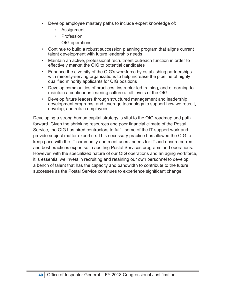- Develop employee mastery paths to include expert knowledge of:
	- Assignment
	- Profession
	- OIG operations
- Continue to build a robust succession planning program that aligns current talent development with future leadership needs
- Maintain an active, professional recruitment outreach function in order to effectively market the OIG to potential candidates
- Enhance the diversity of the OIG's workforce by establishing partnerships with minority-serving organizations to help increase the pipeline of highly qualified minority applicants for OIG positions
- Develop communities of practices, instructor led training, and eLearning to maintain a continuous learning culture at all levels of the OIG
- Develop future leaders through structured management and leadership development programs; and leverage technology to support how we recruit, develop, and retain employees

Developing a strong human capital strategy is vital to the OIG roadmap and path forward. Given the shrinking resources and poor financial climate of the Postal Service, the OIG has hired contractors to fulfill some of the IT support work and provide subject matter expertise. This necessary practice has allowed the OIG to keep pace with the IT community and meet users' needs for IT and ensure current and best practices expertise in auditing Postal Services programs and operations. However, with the specialized nature of our OIG operations and an aging workforce, it is essential we invest in recruiting and retaining our own personnel to develop a bench of talent that has the capacity and bandwidth to contribute to the future successes as the Postal Service continues to experience significant change.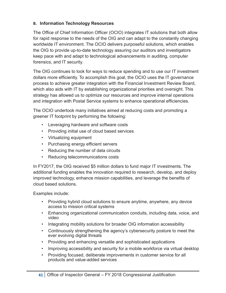#### <span id="page-41-0"></span>**B. Information Technology Resources**

The Office of Chief Information Officer (OCIO) integrates IT solutions that both allow for rapid response to the needs of the OIG and can adapt to the constantly changing worldwide IT environment. The OCIO delivers purposeful solutions, which enables the OIG to provide up-to-date technology assuring our auditors and investigators keep pace with and adapt to technological advancements in auditing, computer forensics, and IT security.

The OIG continues to look for ways to reduce spending and to use our IT investment dollars more efficiently. To accomplish this goal, the OCIO uses the IT governance process to achieve greater integration with the Financial Investment Review Board, which also aids with IT by establishing organizational priorities and oversight. This strategy has allowed us to optimize our resources and improve internal operations and integration with Postal Service systems to enhance operational efficiencies.

The OCIO undertook many initiatives aimed at reducing costs and promoting a greener IT footprint by performing the following:

- Leveraging hardware and software costs
- Providing initial use of cloud based services
- Virtualizing equipment
- Purchasing energy efficient servers
- Reducing the number of data circuits
- Reducing telecommunications costs

In FY2017, the OIG received \$5 million dollars to fund major IT investments. The additional funding enables the innovation required to research, develop, and deploy improved technology, enhance mission capabilities, and leverage the benefits of cloud based solutions.

Examples include:

- Providing hybrid cloud solutions to ensure anytime, anywhere, any device access to mission critical systems
- Enhancing organizational communication conduits, including data, voice, and video
- Integrating mobility solutions for broader OIG information accessibility
- Continuously strengthening the agency's cybersecurity posture to meet the ever evolving digital threats
- Providing and enhancing versatile and sophisticated applications
- Improving accessibility and security for a mobile workforce via virtual desktop
- Providing focused, deliberate improvements in customer service for all products and value-added services